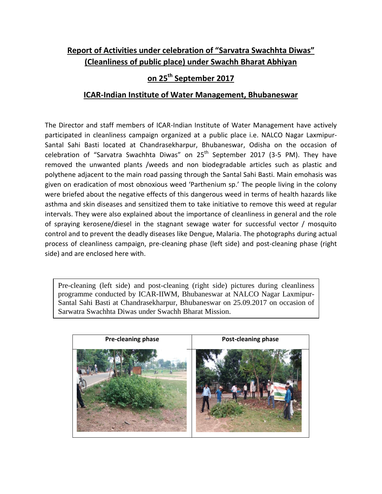## **Report of Activities under celebration of "Sarvatra Swachhta Diwas" (Cleanliness of public place) under Swachh Bharat Abhiyan**

## **on 25 th September 2017**

## **ICAR-Indian Institute of Water Management, Bhubaneswar**

The Director and staff members of ICAR-Indian Institute of Water Management have actively participated in cleanliness campaign organized at a public place i.e. NALCO Nagar Laxmipur-Santal Sahi Basti located at Chandrasekharpur, Bhubaneswar, Odisha on the occasion of celebration of "Sarvatra Swachhta Diwas" on  $25<sup>th</sup>$  September 2017 (3-5 PM). They have removed the unwanted plants /weeds and non biodegradable articles such as plastic and polythene adjacent to the main road passing through the Santal Sahi Basti. Main emohasis was given on eradication of most obnoxious weed 'Parthenium sp.' The people living in the colony were briefed about the negative effects of this dangerous weed in terms of health hazards like asthma and skin diseases and sensitized them to take initiative to remove this weed at regular intervals. They were also explained about the importance of cleanliness in general and the role of spraying kerosene/diesel in the stagnant sewage water for successful vector / mosquito control and to prevent the deadly diseases like Dengue, Malaria. The photographs during actual process of cleanliness campaign, pre-cleaning phase (left side) and post-cleaning phase (right side) and are enclosed here with.

Pre-cleaning (left side) and post-cleaning (right side) pictures during cleanliness programme conducted by ICAR-IIWM, Bhubaneswar at NALCO Nagar Laxmipur-Santal Sahi Basti at Chandrasekharpur, Bhubaneswar on 25.09.2017 on occasion of Sarwatra Swachhta Diwas under Swachh Bharat Mission.

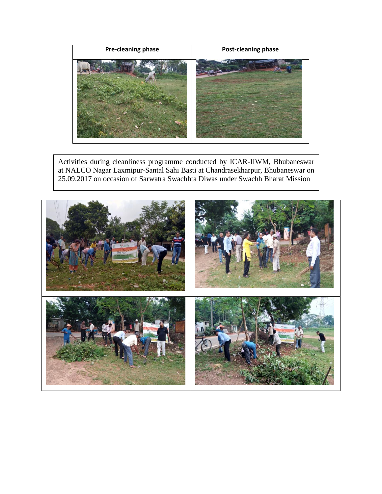

Activities during cleanliness programme conducted by ICAR-IIWM, Bhubaneswar at NALCO Nagar Laxmipur-Santal Sahi Basti at Chandrasekharpur, Bhubaneswar on 25.09.2017 on occasion of Sarwatra Swachhta Diwas under Swachh Bharat Mission